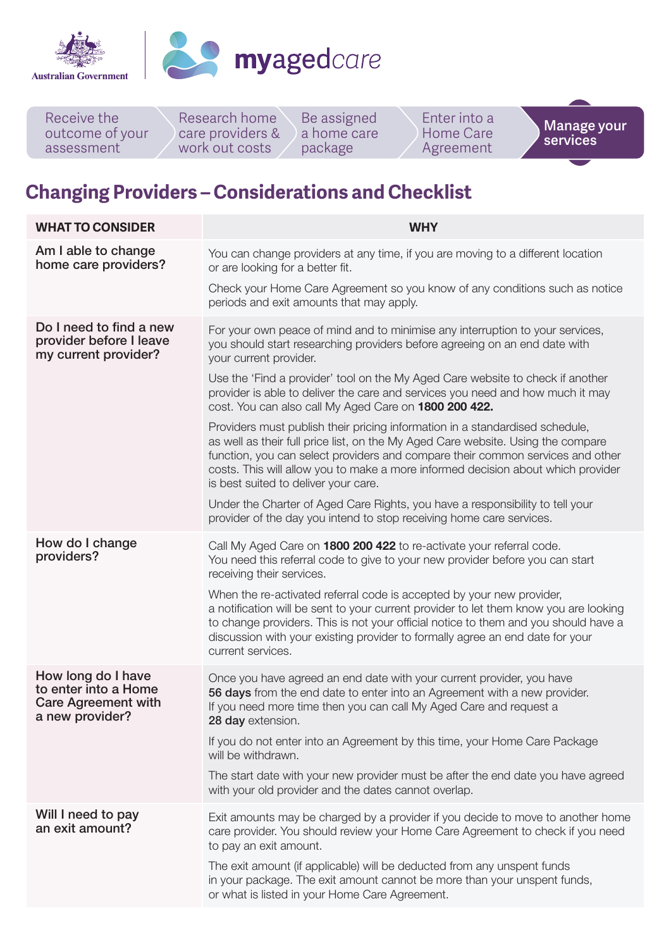



Research home care providers & work out costs Receive the outcome of your assessment Be assigned a home care package Enter into a Home Care Agreement **Manage your services**

## **Changing Providers – Considerations and Checklist**

| <b>WHAT TO CONSIDER</b>                                                                     | <b>WHY</b>                                                                                                                                                                                                                                                                                                                                                                     |
|---------------------------------------------------------------------------------------------|--------------------------------------------------------------------------------------------------------------------------------------------------------------------------------------------------------------------------------------------------------------------------------------------------------------------------------------------------------------------------------|
| Am I able to change<br>home care providers?                                                 | You can change providers at any time, if you are moving to a different location<br>or are looking for a better fit.                                                                                                                                                                                                                                                            |
|                                                                                             | Check your Home Care Agreement so you know of any conditions such as notice<br>periods and exit amounts that may apply.                                                                                                                                                                                                                                                        |
| Do I need to find a new<br>provider before I leave<br>my current provider?                  | For your own peace of mind and to minimise any interruption to your services,<br>you should start researching providers before agreeing on an end date with<br>your current provider.                                                                                                                                                                                          |
|                                                                                             | Use the 'Find a provider' tool on the My Aged Care website to check if another<br>provider is able to deliver the care and services you need and how much it may<br>cost. You can also call My Aged Care on 1800 200 422.                                                                                                                                                      |
|                                                                                             | Providers must publish their pricing information in a standardised schedule,<br>as well as their full price list, on the My Aged Care website. Using the compare<br>function, you can select providers and compare their common services and other<br>costs. This will allow you to make a more informed decision about which provider<br>is best suited to deliver your care. |
|                                                                                             | Under the Charter of Aged Care Rights, you have a responsibility to tell your<br>provider of the day you intend to stop receiving home care services.                                                                                                                                                                                                                          |
| How do I change<br>providers?                                                               | Call My Aged Care on 1800 200 422 to re-activate your referral code.<br>You need this referral code to give to your new provider before you can start<br>receiving their services.                                                                                                                                                                                             |
|                                                                                             | When the re-activated referral code is accepted by your new provider,<br>a notification will be sent to your current provider to let them know you are looking<br>to change providers. This is not your official notice to them and you should have a<br>discussion with your existing provider to formally agree an end date for your<br>current services.                    |
| How long do I have<br>to enter into a Home<br><b>Care Agreement with</b><br>a new provider? | Once you have agreed an end date with your current provider, you have<br>56 days from the end date to enter into an Agreement with a new provider.<br>If you need more time then you can call My Aged Care and request a<br>28 day extension.                                                                                                                                  |
|                                                                                             | If you do not enter into an Agreement by this time, your Home Care Package<br>will be withdrawn.                                                                                                                                                                                                                                                                               |
|                                                                                             | The start date with your new provider must be after the end date you have agreed<br>with your old provider and the dates cannot overlap.                                                                                                                                                                                                                                       |
| Will I need to pay<br>an exit amount?                                                       | Exit amounts may be charged by a provider if you decide to move to another home<br>care provider. You should review your Home Care Agreement to check if you need<br>to pay an exit amount.                                                                                                                                                                                    |
|                                                                                             | The exit amount (if applicable) will be deducted from any unspent funds<br>in your package. The exit amount cannot be more than your unspent funds,<br>or what is listed in your Home Care Agreement.                                                                                                                                                                          |